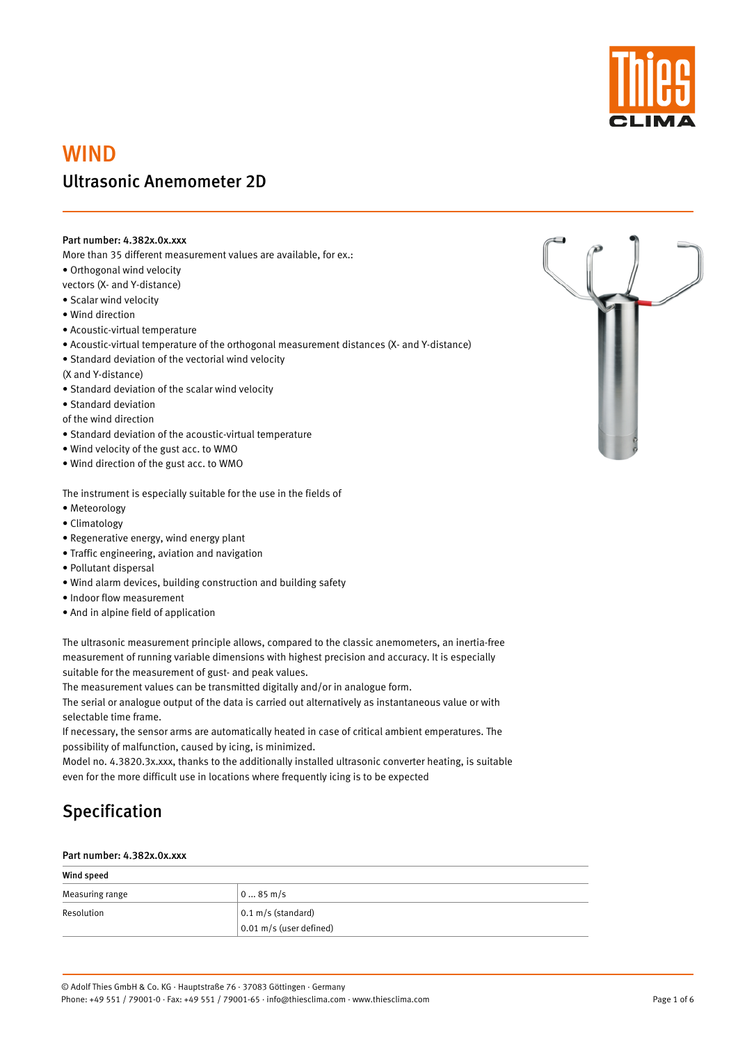

# WIND Ultrasonic Anemometer 2D

#### Part number: 4.382x.0x.xxx

More than 35 different measurement values are available, for ex.:

• Orthogonal wind velocity

vectors (X- and Y-distance)

- Scalar wind velocity
- Wind direction
- Acoustic-virtual temperature
- Acoustic-virtual temperature of the orthogonal measurement distances (X- and Y-distance)
- Standard deviation of the vectorial wind velocity
- (X and Y-distance)
- Standard deviation of the scalar wind velocity
- Standard deviation

of the wind direction

- Standard deviation of the acoustic-virtual temperature
- Wind velocity of the gust acc. to WMO
- Wind direction of the gust acc. to WMO

The instrument is especially suitable for the use in the fields of

- Meteorology
- Climatology
- Regenerative energy, wind energy plant
- Traffic engineering, aviation and navigation
- Pollutant dispersal
- Wind alarm devices, building construction and building safety
- Indoor flow measurement
- And in alpine field of application

The ultrasonic measurement principle allows, compared to the classic anemometers, an inertia-free measurement of running variable dimensions with highest precision and accuracy. It is especially suitable for the measurement of gust- and peak values.

The measurement values can be transmitted digitally and/or in analogue form.

The serial or analogue output of the data is carried out alternatively as instantaneous value or with selectable time frame.

If necessary, the sensor arms are automatically heated in case of critical ambient emperatures. The possibility of malfunction, caused by icing, is minimized.

Model no. 4.3820.3x.xxx, thanks to the additionally installed ultrasonic converter heating, is suitable even for the more difficult use in locations where frequently icing is to be expected





#### Part number: 4.382x.0x.xxx

| Wind speed      |                              |
|-----------------|------------------------------|
| Measuring range | $085$ m/s                    |
| Resolution      | $0.1 \text{ m/s}$ (standard) |
|                 | $0.01$ m/s (user defined)    |

Page 1 of 6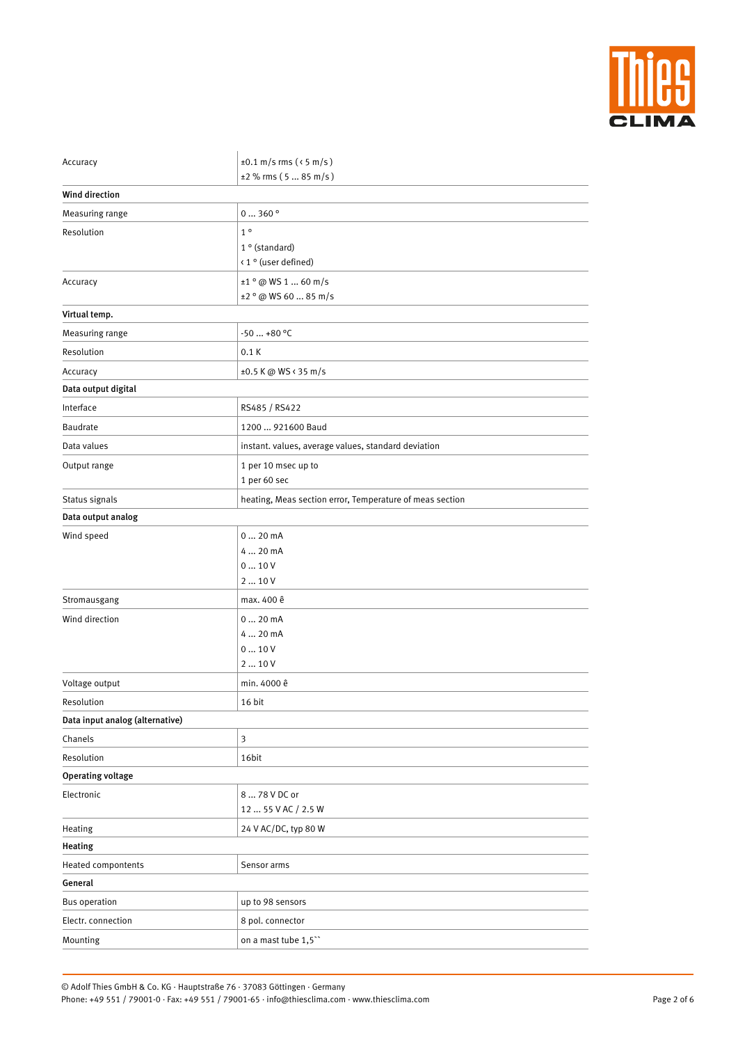

| Accuracy                        | ±0.1 m/s rms ( $\le$ 5 m/s)                              |
|---------------------------------|----------------------------------------------------------|
|                                 | $±2$ % rms (5  85 m/s)                                   |
| <b>Wind direction</b>           |                                                          |
| Measuring range                 | 0360°                                                    |
| Resolution                      | 1 <sup>o</sup>                                           |
|                                 | $1°$ (standard)                                          |
|                                 | < 1 ° (user defined)                                     |
| Accuracy                        | $±1°$ @ WS 1  60 m/s                                     |
|                                 | $±2°$ @ WS 60  85 m/s                                    |
| Virtual temp.                   |                                                          |
| Measuring range                 | $-50+80$ °C                                              |
| Resolution                      | 0.1K                                                     |
| Accuracy                        | ±0.5 K @ WS < 35 m/s                                     |
| Data output digital             |                                                          |
| Interface                       | RS485 / RS422                                            |
| Baudrate                        | 1200  921600 Baud                                        |
| Data values                     | instant. values, average values, standard deviation      |
| Output range                    | 1 per 10 msec up to                                      |
|                                 | 1 per 60 sec                                             |
| Status signals                  | heating, Meas section error, Temperature of meas section |
| Data output analog              |                                                          |
| Wind speed                      | $020$ mA                                                 |
|                                 | 4  20 mA                                                 |
|                                 | 010V                                                     |
|                                 | 210V                                                     |
| Stromausgang                    | max. 400 ê                                               |
| Wind direction                  | 020mA                                                    |
|                                 | 4  20 mA                                                 |
|                                 | 010V                                                     |
|                                 | 210V                                                     |
| Voltage output                  | min. 4000 ê                                              |
| Resolution                      | 16 bit                                                   |
| Data input analog (alternative) |                                                          |
| Chanels                         | $\mathfrak{Z}$                                           |
| Resolution                      | 16bit                                                    |
| <b>Operating voltage</b>        |                                                          |

| Mounting             | on a mast tube 1,5"  |
|----------------------|----------------------|
| Electr. connection   | 8 pol. connector     |
| <b>Bus operation</b> | up to 98 sensors     |
| General              |                      |
| Heated compontents   | Sensor arms          |
| <b>Heating</b>       |                      |
| Heating              | 24 V AC/DC, typ 80 W |
|                      | 12  55 V AC / 2.5 W  |
| Electronic           | 8  78 V DC or        |

Page 2 of 6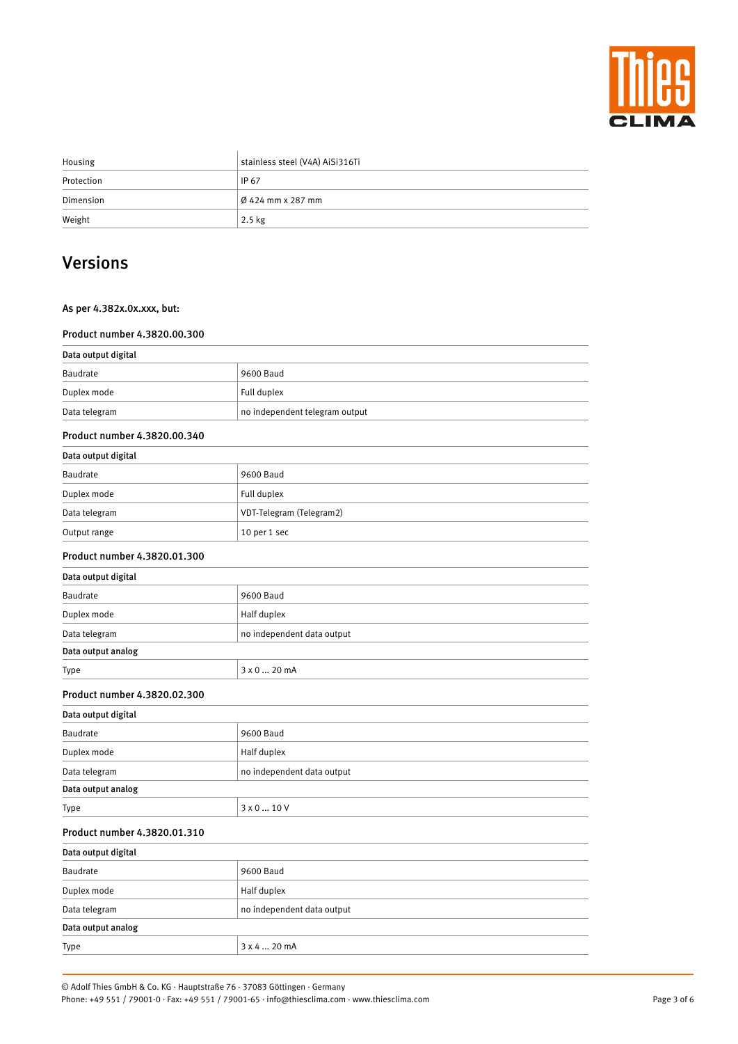

| Housing    | stainless steel (V4A) AiSi316Ti |
|------------|---------------------------------|
| Protection | <b>IP 67</b>                    |
| Dimension  | $\beta$ 424 mm x 287 mm         |
| Weight     | $2.5$ kg                        |

## Versions

### As per 4.382x.0x.xxx, but:

### Product number 4.3820.00.300

| Data output digital          |                                |
|------------------------------|--------------------------------|
| <b>Baudrate</b>              | 9600 Baud                      |
| Duplex mode                  | Full duplex                    |
| Data telegram                | no independent telegram output |
| Product number 4.3820.00.340 |                                |
| Data output digital          |                                |
| <b>Baudrate</b>              | 9600 Baud                      |
| Duplex mode                  | Full duplex                    |
| Data telegram                | VDT-Telegram (Telegram2)       |
| Output range                 | 10 per 1 sec                   |
| Product number 4.3820.01.300 |                                |
| Data output digital          |                                |
| <b>Baudrate</b>              | 9600 Baud                      |
| Duplex mode                  | Half duplex                    |
| Data telegram                | no independent data output     |
| Data output analog           |                                |
| Type                         | 3 x 0  20 mA                   |
| Product number 4.3820.02.300 |                                |
| Data output digital          |                                |
| <b>Baudrate</b>              | 9600 Baud                      |
| Duplex mode                  | Half duplex                    |

|  | Data output analog |  |
|--|--------------------|--|
|--|--------------------|--|

| Type                         | $3 \times 0$ 10 V          |  |  |
|------------------------------|----------------------------|--|--|
| Product number 4.3820.01.310 |                            |  |  |
| Data output digital          |                            |  |  |
| Baudrate                     | 9600 Baud                  |  |  |
| Duplex mode                  | Half duplex                |  |  |
| Data telegram                | no independent data output |  |  |
| Data output analog           |                            |  |  |
| Type                         | 3 x 4  20 mA               |  |  |

#### © Adolf Thies GmbH & Co. KG · Hauptstraße 76 · 37083 Göttingen · Germany Phone: +49 551 / 79001-0 · Fax: +49 551 / 79001-65 · info@thiesclima.com · www.thiesclima.com

Data telegram no independent data output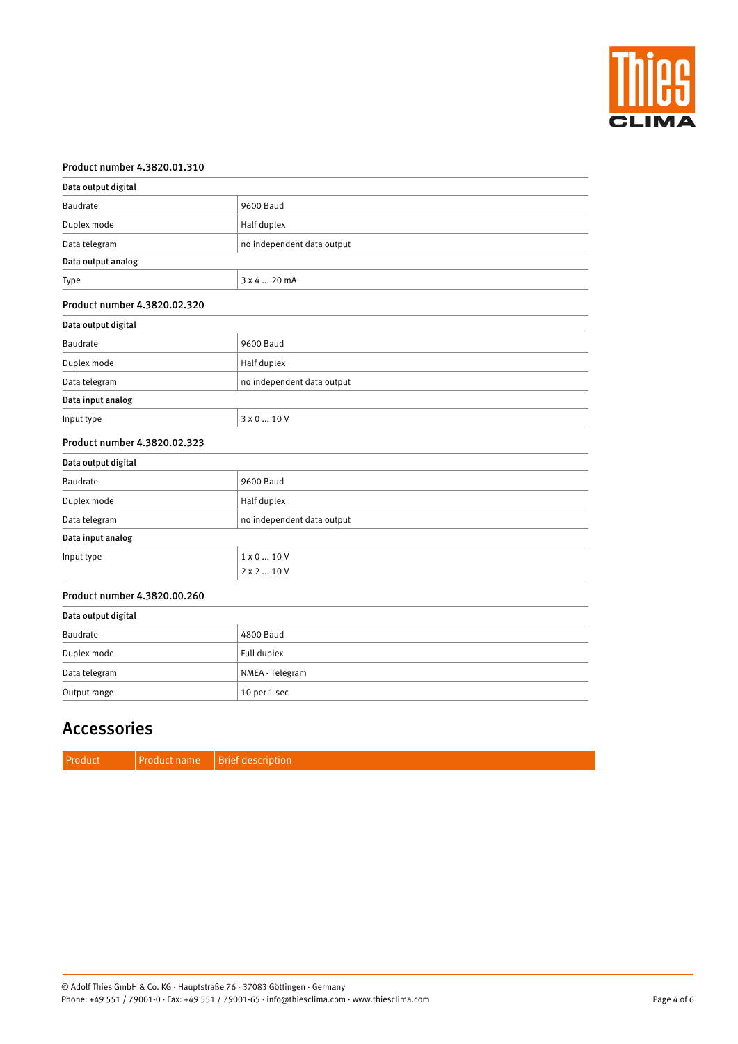

#### Product number 4.3820.01.310

| Data output digital          |                            |
|------------------------------|----------------------------|
| Baudrate                     | 9600 Baud                  |
| Duplex mode                  | Half duplex                |
| Data telegram                | no independent data output |
| Data output analog           |                            |
| Type                         | 3 x 4  20 mA               |
| Product number 4.3820.02.320 |                            |
| Data output digital          |                            |
| Baudrate                     | 9600 Baud                  |
| Duplex mode                  | Half duplex                |
| Data telegram                | no independent data output |
| Data input analog            |                            |
| Input type                   | 3 x 0  10 V                |
| Product number 4.3820.02.323 |                            |
| Data output digital          |                            |
| Baudrate                     | 9600 Baud                  |
| Duplex mode                  | Half duplex                |
| Data telegram                | no independent data output |
| Data input analog            |                            |
| Input type                   | $1 \times 0  10 V$         |
|                              | $2 \times 2  10 V$         |
| Product number 4.3820.00.260 |                            |
| Data output digital          |                            |
| Baudrate                     | 4800 Baud                  |
| Duplex mode                  | Full duplex                |
| Data telegram                | NMEA - Telegram            |
|                              |                            |

## Accessories

Output range 10 per 1 sec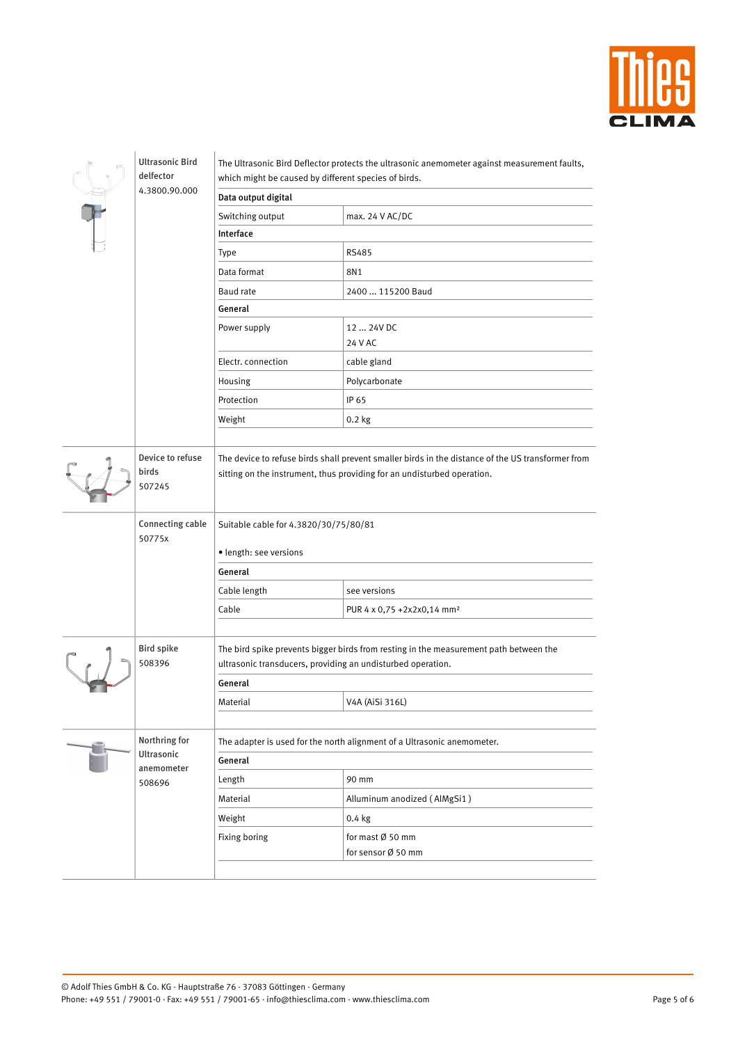

| <b>Ultrasonic Bird</b><br>delfector |                                     | The Ultrasonic Bird Deflector protects the ultrasonic anemometer against measurement faults,<br>which might be caused by different species of birds.                         |                                        |  |
|-------------------------------------|-------------------------------------|------------------------------------------------------------------------------------------------------------------------------------------------------------------------------|----------------------------------------|--|
|                                     | 4.3800.90.000                       | Data output digital                                                                                                                                                          |                                        |  |
|                                     |                                     | Switching output                                                                                                                                                             | max. 24 V AC/DC                        |  |
|                                     |                                     | Interface                                                                                                                                                                    |                                        |  |
|                                     |                                     | <b>Type</b>                                                                                                                                                                  | <b>RS485</b>                           |  |
|                                     |                                     | Data format                                                                                                                                                                  | 8N1                                    |  |
|                                     |                                     | <b>Baud</b> rate                                                                                                                                                             | 2400  115200 Baud                      |  |
|                                     |                                     | General                                                                                                                                                                      |                                        |  |
|                                     |                                     | Power supply                                                                                                                                                                 | 12  24V DC<br>24 V AC                  |  |
|                                     |                                     | Electr. connection                                                                                                                                                           | cable gland                            |  |
|                                     |                                     | Housing                                                                                                                                                                      | Polycarbonate                          |  |
|                                     |                                     | Protection                                                                                                                                                                   | IP 65                                  |  |
|                                     |                                     | Weight                                                                                                                                                                       | $0.2$ kg                               |  |
|                                     |                                     |                                                                                                                                                                              |                                        |  |
|                                     | Device to refuse<br>birds<br>507245 | The device to refuse birds shall prevent smaller birds in the distance of the US transformer from<br>sitting on the instrument, thus providing for an undisturbed operation. |                                        |  |
|                                     | <b>Connecting cable</b><br>50775x   | Suitable cable for 4.3820/30/75/80/81                                                                                                                                        |                                        |  |
|                                     |                                     | · length: see versions                                                                                                                                                       |                                        |  |
|                                     |                                     | General                                                                                                                                                                      |                                        |  |
|                                     |                                     | Cable length                                                                                                                                                                 | see versions                           |  |
|                                     |                                     | Cable                                                                                                                                                                        | PUR 4 x 0,75 +2x2x0,14 mm <sup>2</sup> |  |
|                                     |                                     |                                                                                                                                                                              |                                        |  |
|                                     | <b>Bird spike</b><br>508396         | The bird spike prevents bigger birds from resting in the measurement path between the<br>ultrasonic transducers, providing an undisturbed operation.                         |                                        |  |
|                                     |                                     | General                                                                                                                                                                      |                                        |  |
|                                     |                                     | Material                                                                                                                                                                     | V4A (AiSi 316L)                        |  |
|                                     |                                     |                                                                                                                                                                              |                                        |  |
|                                     | Northring for                       | The adapter is used for the north alignment of a Ultrasonic anemometer.                                                                                                      |                                        |  |
|                                     | <b>Ultrasonic</b>                   | General                                                                                                                                                                      |                                        |  |
|                                     | anemometer<br>508696                | Length                                                                                                                                                                       | 90 mm                                  |  |
|                                     |                                     |                                                                                                                                                                              |                                        |  |

| Material      | Alluminum anodized (AlMgSi1) |
|---------------|------------------------------|
| Weight        | $0.4$ kg                     |
| Fixing boring | for mast Ø 50 mm             |
|               | for sensor Ø 50 mm           |
|               |                              |